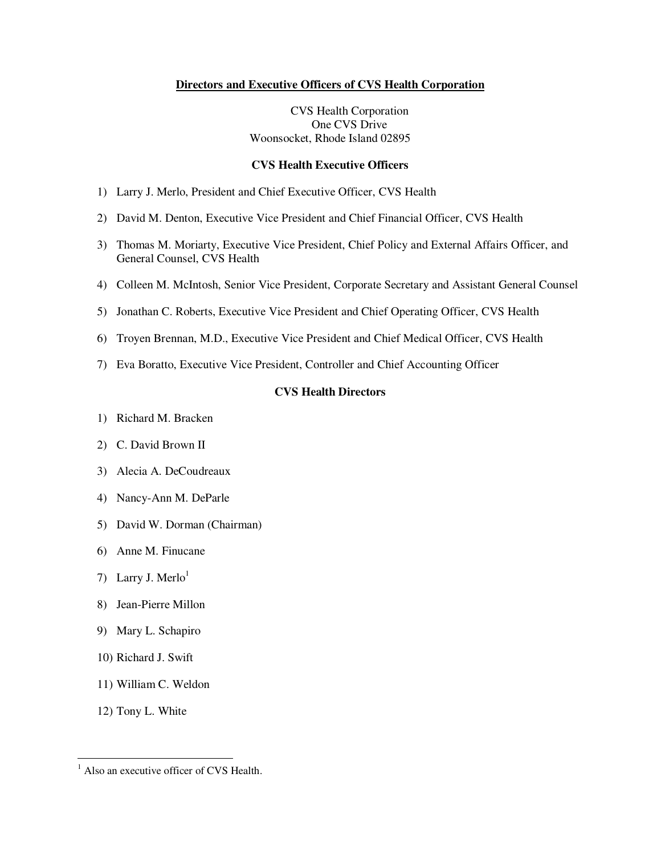#### **Directors and Executive Officers of CVS Health Corporation**

CVS Health Corporation One CVS Drive Woonsocket, Rhode Island 02895

#### **CVS Health Executive Officers**

- 1) Larry J. Merlo, President and Chief Executive Officer, CVS Health
- 2) David M. Denton, Executive Vice President and Chief Financial Officer, CVS Health
- 3) Thomas M. Moriarty, Executive Vice President, Chief Policy and External Affairs Officer, and General Counsel, CVS Health
- 4) Colleen M. McIntosh, Senior Vice President, Corporate Secretary and Assistant General Counsel
- 5) Jonathan C. Roberts, Executive Vice President and Chief Operating Officer, CVS Health
- 6) Troyen Brennan, M.D., Executive Vice President and Chief Medical Officer, CVS Health
- 7) Eva Boratto, Executive Vice President, Controller and Chief Accounting Officer

#### **CVS Health Directors**

- 1) Richard M. Bracken
- 2) C. David Brown II
- 3) Alecia A. DeCoudreaux
- 4) Nancy-Ann M. DeParle
- 5) David W. Dorman (Chairman)
- 6) Anne M. Finucane
- 7) Larry J. Merlo<sup>1</sup>
- 8) Jean-Pierre Millon
- 9) Mary L. Schapiro
- 10) Richard J. Swift
- 11) William C. Weldon
- 12) Tony L. White

<sup>&</sup>lt;sup>1</sup> Also an executive officer of CVS Health.